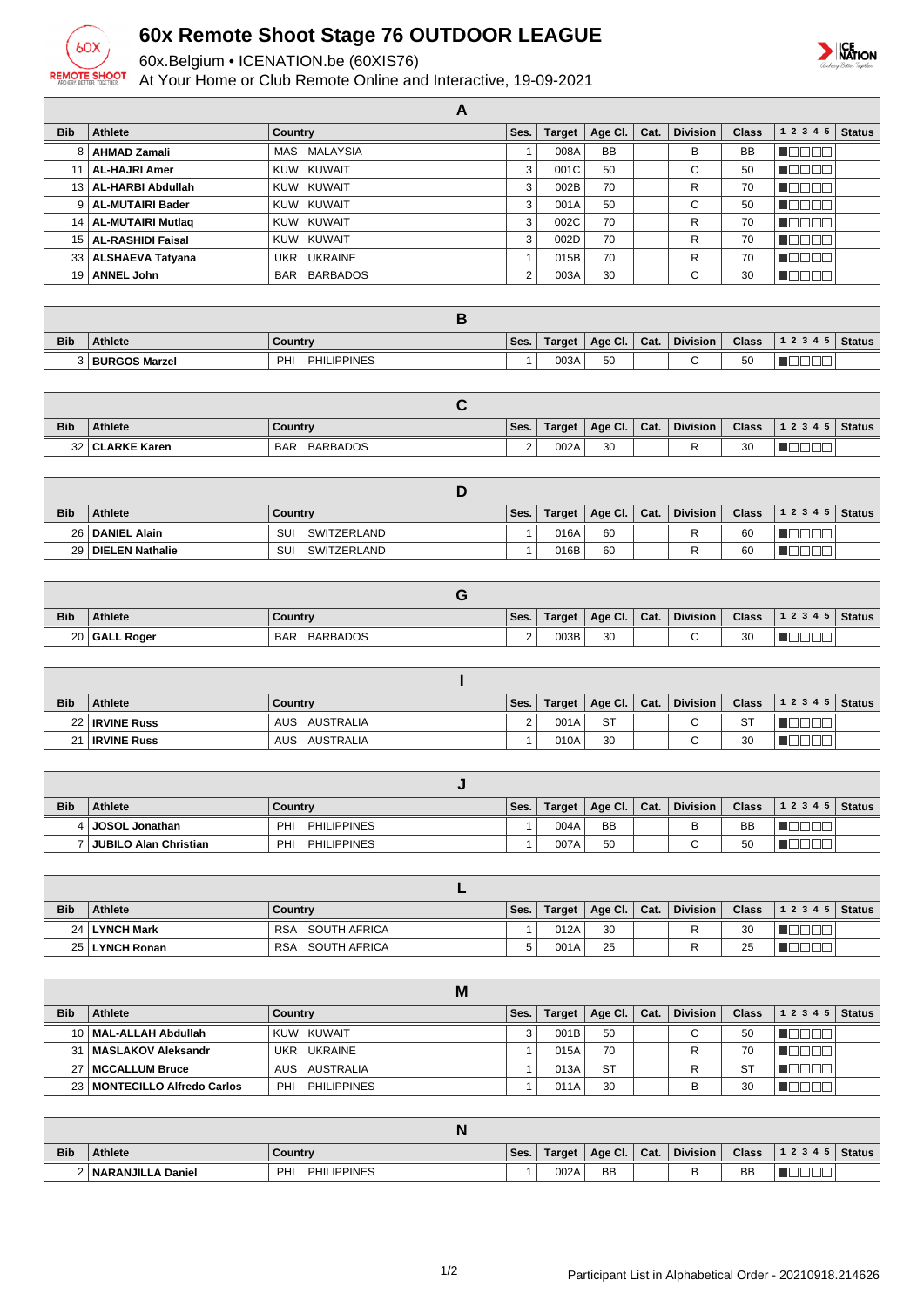

## **60x Remote Shoot Stage 76 OUTDOOR LEAGUE**

60x.Belgium • ICENATION.be (60XIS76)

At Your Home or Club Remote Online and Interactive, 19-09-2021



|            |                        | А            |                |               |           |      |                 |              |                       |        |
|------------|------------------------|--------------|----------------|---------------|-----------|------|-----------------|--------------|-----------------------|--------|
| <b>Bib</b> | Athlete                | Country      | Ses.           | <b>Target</b> | Age Cl.   | Cat. | <b>Division</b> | <b>Class</b> | 1 2 3 4 5             | Status |
|            | 8   AHMAD Zamali       | MAS MALAYSIA |                | 008A          | <b>BB</b> |      | в               | <b>BB</b>    |                       |        |
|            | AL-HAJRI Amer          | KUW KUWAIT   | 3              | 001C          | 50        |      | С               | 50           | ╦<br><b>TELESCOPE</b> |        |
|            | 13   AL-HARBI Abdullah | KUW KUWAIT   | 3              | 002B          | 70        |      | R               | 70           | NOO U                 |        |
|            | 9   AL-MUTAIRI Bader   | KUW KUWAIT   | 3              | 001A          | 50        |      | С               | 50           | ' NOOOO               |        |
|            | 14   AL-MUTAIRI Mutlag | KUW KUWAIT   | 3              | 002C          | 70        |      | R               | 70           | <b>u</b> bboo         |        |
|            | 15   AL-RASHIDI Faisal | KUW KUWAIT   | 3              | 002D          | 70        |      | R               | 70           | . .                   |        |
|            | 33   ALSHAEVA Tatyana  | UKR UKRAINE  |                | 015B          | 70        |      | R               | 70           | TOOOO                 |        |
|            | 19   ANNEL John        | BAR BARBADOS | $\overline{2}$ | 003A          | 30        |      | C               | 30           | TN TI                 |        |

| <b>Bib</b> | <b>Athlete</b>       | Country                   | Ses. | Target | Age Cl. | Cat. | <b>Division</b> | <b>Class</b> | 1 2 3 4 5   Status |  |
|------------|----------------------|---------------------------|------|--------|---------|------|-----------------|--------------|--------------------|--|
|            | <b>BURGOS Marzel</b> | <b>PHILIPPINES</b><br>PHI |      | 003A   | 50      |      |                 | 50           |                    |  |

| <b>Bib</b> | <b>Athlete</b>      | Country                       | Ses.     | Target | Age CI. | Cat. | <b>Division</b> | <b>Class</b> | 1 2 3 4 5 | <b>Status</b> |
|------------|---------------------|-------------------------------|----------|--------|---------|------|-----------------|--------------|-----------|---------------|
| 32         | <b>CLARKE Karen</b> | <b>BARBADOS</b><br><b>BAR</b> | <u>.</u> | 002A   | 30      |      |                 | 30           | __        |               |

| <b>Bib</b> | <b>Athlete</b>       | Country            | Ses. | Target | $^\dagger$ Age Cl. $\vert$ Cat. | <b>Division</b> | <b>Class</b> | $12345$ Status |  |
|------------|----------------------|--------------------|------|--------|---------------------------------|-----------------|--------------|----------------|--|
|            | 26   DANIEL Alain    | SUI<br>SWITZERLAND |      | 016A   | 60                              | D               | 60           |                |  |
|            | 29   DIELEN Nathalie | SUI<br>SWITZERLAND |      | 016B   | 60                              |                 | 60           |                |  |

| <b>Bib</b> | <b>Athlete</b> | Country                       | Ses.     | Target | Age Cl.   Cat. | <b>Division</b> | <b>Class</b> | 12345 | <b>Status</b> |
|------------|----------------|-------------------------------|----------|--------|----------------|-----------------|--------------|-------|---------------|
|            | 20 GALL Roger  | <b>BARBADOS</b><br><b>BAR</b> | <u>.</u> | 003B   | 30             | $\sim$<br>ີ     | 30           |       |               |

| <b>Bib</b>   | Athlete          | Country          | Ses.           | Target | Age Cl. | Cat. | <b>Division</b> | <b>Class</b> | $12345$ Status |  |
|--------------|------------------|------------------|----------------|--------|---------|------|-----------------|--------------|----------------|--|
|              | 22   IRVINE Russ | AUSTRALIA<br>AUS | 2.<br><u>.</u> | 001A   | -ST     |      |                 | ST           |                |  |
| $\mathbf{A}$ | ∣ IRVINE Russ    | AUSTRALIA<br>AUS |                | 010A   | 30      |      |                 | 30           |                |  |

| <b>Bib</b> | <b>Athlete</b>        | Country                   | Ses. | Target | Age Cl.   Cat. | <b>Division</b> | <b>Class</b> | $12345$ Status |  |
|------------|-----------------------|---------------------------|------|--------|----------------|-----------------|--------------|----------------|--|
|            | 4   JOSOL Jonathan    | <b>PHILIPPINES</b><br>PHI |      | 004A   | <b>BB</b>      |                 | <b>BB</b>    |                |  |
|            | JUBILO Alan Christian | <b>PHILIPPINES</b><br>PHI |      | 007A   | 50             |                 | 50           |                |  |

| <b>Bib</b> | <b>Athlete</b>  | Country          | Ses. | Target | Age Cl.   Cat. | <b>Division</b> | <b>Class</b> | $12345$ Status |  |
|------------|-----------------|------------------|------|--------|----------------|-----------------|--------------|----------------|--|
|            | 24   LYNCH Mark | RSA SOUTH AFRICA |      | 012A   | 30             |                 | 30           |                |  |
|            | 25 LYNCH Ronan  | RSA SOUTH AFRICA |      | 001A   | 25             |                 | 25           |                |  |

|            |                                | М                         |      |               |                      |                 |              |           |               |
|------------|--------------------------------|---------------------------|------|---------------|----------------------|-----------------|--------------|-----------|---------------|
| <b>Bib</b> | <b>Athlete</b>                 | Country                   | Ses. | <b>Target</b> | Age Cl. $\vert$ Cat. | <b>Division</b> | <b>Class</b> | 1 2 3 4 5 | <b>Status</b> |
|            | 10   MAL-ALLAH Abdullah        | KUW KUWAIT                |      | 001B          | 50                   | ◡               | 50           |           |               |
| 31         | MASLAKOV Aleksandr             | UKR UKRAINE               |      | 015A          | 70                   |                 | 70           |           |               |
|            | ′   MCCALLUM Bruce             | AUS AUSTRALIA             |      | 013A          | <b>ST</b>            | R               | <b>ST</b>    |           |               |
|            | 23   MONTECILLO Alfredo Carlos | <b>PHILIPPINES</b><br>PHI |      | 011A          | 30                   |                 | 30           |           |               |

|            |                   | IV                        |      |        |                |                 |              |       |        |
|------------|-------------------|---------------------------|------|--------|----------------|-----------------|--------------|-------|--------|
| <b>Bib</b> | Athlete           | Country                   | Ses. | Target | Age Cl.   Cat. | <b>Division</b> | <b>Class</b> | 12345 | Status |
|            | NARANJILLA Daniel | <b>PHILIPPINES</b><br>PHI |      | 002A   | <b>BB</b>      | ◡               | <b>BB</b>    |       |        |